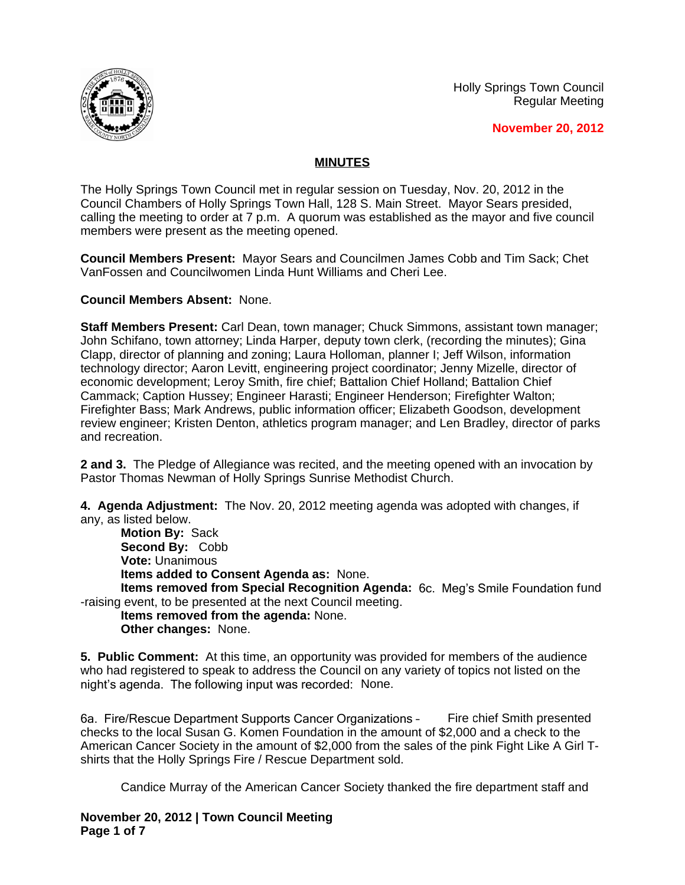



**November 20, 2012**

## **MINUTES**

The Holly Springs Town Council met in regular session on Tuesday, Nov. 20, 2012 in the Council Chambers of Holly Springs Town Hall, 128 S. Main Street. Mayor Sears presided, calling the meeting to order at 7 p.m. A quorum was established as the mayor and five council members were present as the meeting opened.

**Council Members Present:** Mayor Sears and Councilmen James Cobb and Tim Sack; Chet VanFossen and Councilwomen Linda Hunt Williams and Cheri Lee.

## **Council Members Absent:** None.

**Staff Members Present:** Carl Dean, town manager; Chuck Simmons, assistant town manager; John Schifano, town attorney; Linda Harper, deputy town clerk, (recording the minutes); Gina Clapp, director of planning and zoning; Laura Holloman, planner I; Jeff Wilson, information technology director; Aaron Levitt, engineering project coordinator; Jenny Mizelle, director of economic development; Leroy Smith, fire chief; Battalion Chief Holland; Battalion Chief Cammack; Caption Hussey; Engineer Harasti; Engineer Henderson; Firefighter Walton; Firefighter Bass; Mark Andrews, public information officer; Elizabeth Goodson, development review engineer; Kristen Denton, athletics program manager; and Len Bradley, director of parks and recreation.

**2 and 3.** The Pledge of Allegiance was recited, and the meeting opened with an invocation by Pastor Thomas Newman of Holly Springs Sunrise Methodist Church.

**4. Agenda Adjustment:** The Nov. 20, 2012 meeting agenda was adopted with changes, if any, as listed below.

**Motion By:** Sack **Second By:** Cobb **Vote:** Unanimous **Items added to Consent Agenda as:** None.

**Items removed from Special Recognition Agenda:** 6c. Meg's Smile Foundation fund -raising event, to be presented at the next Council meeting.

**Items removed from the agenda:** None. **Other changes:** None.

**5. Public Comment:** At this time, an opportunity was provided for members of the audience who had registered to speak to address the Council on any variety of topics not listed on the night's agenda. The following input was recorded: None.

6a. Fire/Rescue Department Supports Cancer Organizations – Fire chief Smith presented checks to the local Susan G. Komen Foundation in the amount of \$2,000 and a check to the American Cancer Society in the amount of \$2,000 from the sales of the pink Fight Like A Girl Tshirts that the Holly Springs Fire / Rescue Department sold.

Candice Murray of the American Cancer Society thanked the fire department staff and

**November 20, 2012 | Town Council Meeting Page 1 of 7**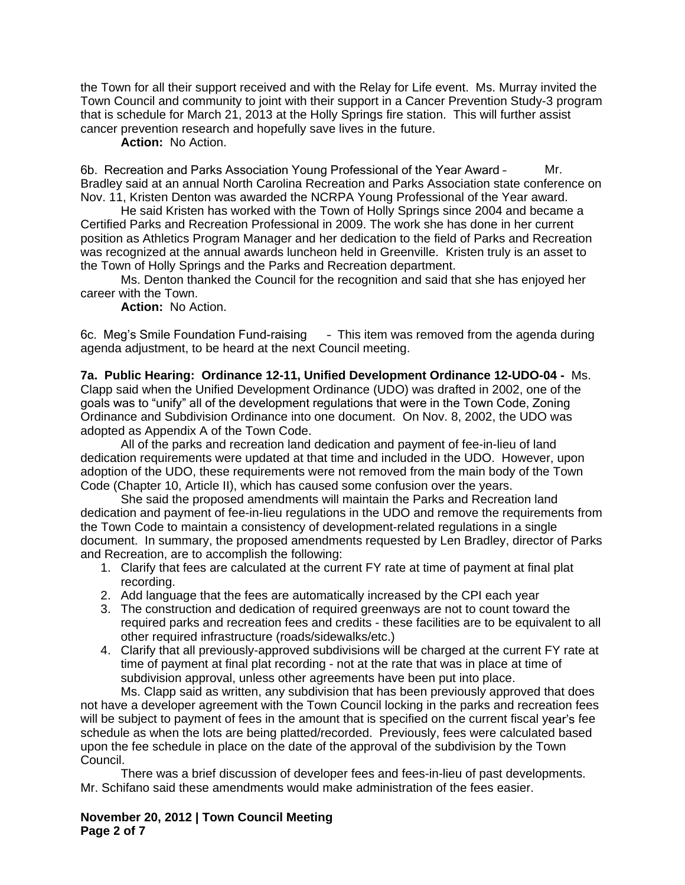the Town for all their support received and with the Relay for Life event. Ms. Murray invited the Town Council and community to joint with their support in a Cancer Prevention Study-3 program that is schedule for March 21, 2013 at the Holly Springs fire station. This will further assist cancer prevention research and hopefully save lives in the future.

**Action:** No Action.

6b. Recreation and Parks Association Young Professional of the Year Award – Mr. Bradley said at an annual North Carolina Recreation and Parks Association state conference on Nov. 11, Kristen Denton was awarded the NCRPA Young Professional of the Year award.

He said Kristen has worked with the Town of Holly Springs since 2004 and became a Certified Parks and Recreation Professional in 2009. The work she has done in her current position as Athletics Program Manager and her dedication to the field of Parks and Recreation was recognized at the annual awards luncheon held in Greenville. Kristen truly is an asset to the Town of Holly Springs and the Parks and Recreation department.

Ms. Denton thanked the Council for the recognition and said that she has enjoyed her career with the Town.

**Action:** No Action.

6c. Meg's Smile Foundation Fund-raising – This item was removed from the agenda during agenda adjustment, to be heard at the next Council meeting.

**7a. Public Hearing: Ordinance 12-11, Unified Development Ordinance 12-UDO-04 -** Ms. Clapp said when the Unified Development Ordinance (UDO) was drafted in 2002, one of the goals was to "unify" all of the development regulations that were in the Town Code, Zoning Ordinance and Subdivision Ordinance into one document. On Nov. 8, 2002, the UDO was adopted as Appendix A of the Town Code.

All of the parks and recreation land dedication and payment of fee-in-lieu of land dedication requirements were updated at that time and included in the UDO. However, upon adoption of the UDO, these requirements were not removed from the main body of the Town Code (Chapter 10, Article II), which has caused some confusion over the years.

She said the proposed amendments will maintain the Parks and Recreation land dedication and payment of fee-in-lieu regulations in the UDO and remove the requirements from the Town Code to maintain a consistency of development-related regulations in a single document. In summary, the proposed amendments requested by Len Bradley, director of Parks and Recreation, are to accomplish the following:

- 1. Clarify that fees are calculated at the current FY rate at time of payment at final plat recording.
- 2. Add language that the fees are automatically increased by the CPI each year
- 3. The construction and dedication of required greenways are not to count toward the required parks and recreation fees and credits - these facilities are to be equivalent to all other required infrastructure (roads/sidewalks/etc.)
- 4. Clarify that all previously-approved subdivisions will be charged at the current FY rate at time of payment at final plat recording - not at the rate that was in place at time of subdivision approval, unless other agreements have been put into place.

Ms. Clapp said as written, any subdivision that has been previously approved that does not have a developer agreement with the Town Council locking in the parks and recreation fees will be subject to payment of fees in the amount that is specified on the current fiscal year's fee schedule as when the lots are being platted/recorded. Previously, fees were calculated based upon the fee schedule in place on the date of the approval of the subdivision by the Town Council.

There was a brief discussion of developer fees and fees-in-lieu of past developments. Mr. Schifano said these amendments would make administration of the fees easier.

**November 20, 2012 | Town Council Meeting Page 2 of 7**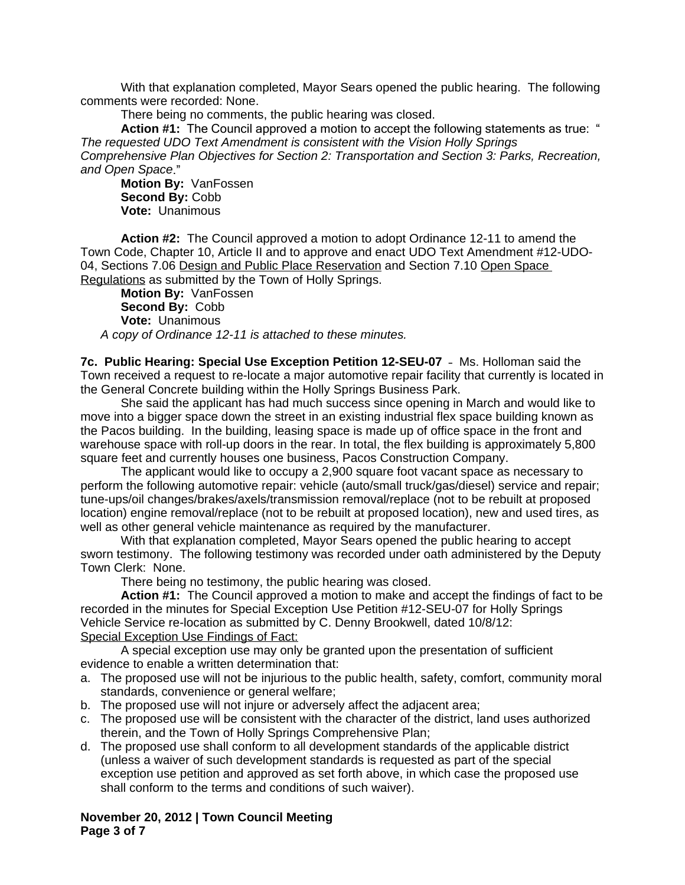With that explanation completed, Mayor Sears opened the public hearing. The following comments were recorded: None.

There being no comments, the public hearing was closed.

**Action #1:** The Council approved a motion to accept the following statements as true: " *The requested UDO Text Amendment is consistent with the Vision Holly Springs Comprehensive Plan Objectives for Section 2: Transportation and Section 3: Parks, Recreation, and Open Space*."

**Motion By:** VanFossen **Second By:** Cobb **Vote:** Unanimous

**Action #2:** The Council approved a motion to adopt Ordinance 12-11 to amend the Town Code, Chapter 10, Article II and to approve and enact UDO Text Amendment #12-UDO-04, Sections 7.06 Design and Public Place Reservation and Section 7.10 Open Space Regulations as submitted by the Town of Holly Springs.

**Motion By:** VanFossen **Second By:** Cobb **Vote:** Unanimous *A copy of Ordinance 12-11 is attached to these minutes.*

**7c. Public Hearing: Special Use Exception Petition 12-SEU-07** – Ms. Holloman said the Town received a request to re-locate a major automotive repair facility that currently is located in the General Concrete building within the Holly Springs Business Park.

She said the applicant has had much success since opening in March and would like to move into a bigger space down the street in an existing industrial flex space building known as the Pacos building. In the building, leasing space is made up of office space in the front and warehouse space with roll-up doors in the rear. In total, the flex building is approximately 5,800 square feet and currently houses one business, Pacos Construction Company.

The applicant would like to occupy a 2,900 square foot vacant space as necessary to perform the following automotive repair: vehicle (auto/small truck/gas/diesel) service and repair; tune-ups/oil changes/brakes/axels/transmission removal/replace (not to be rebuilt at proposed location) engine removal/replace (not to be rebuilt at proposed location), new and used tires, as well as other general vehicle maintenance as required by the manufacturer.

With that explanation completed, Mayor Sears opened the public hearing to accept sworn testimony. The following testimony was recorded under oath administered by the Deputy Town Clerk: None.

There being no testimony, the public hearing was closed.

**Action #1:** The Council approved a motion to make and accept the findings of fact to be recorded in the minutes for Special Exception Use Petition #12-SEU-07 for Holly Springs Vehicle Service re-location as submitted by C. Denny Brookwell, dated 10/8/12: Special Exception Use Findings of Fact:

A special exception use may only be granted upon the presentation of sufficient evidence to enable a written determination that:

- a. The proposed use will not be injurious to the public health, safety, comfort, community moral standards, convenience or general welfare;
- b. The proposed use will not injure or adversely affect the adjacent area;
- c. The proposed use will be consistent with the character of the district, land uses authorized therein, and the Town of Holly Springs Comprehensive Plan;
- d. The proposed use shall conform to all development standards of the applicable district (unless a waiver of such development standards is requested as part of the special exception use petition and approved as set forth above, in which case the proposed use shall conform to the terms and conditions of such waiver).

**November 20, 2012 | Town Council Meeting Page 3 of 7**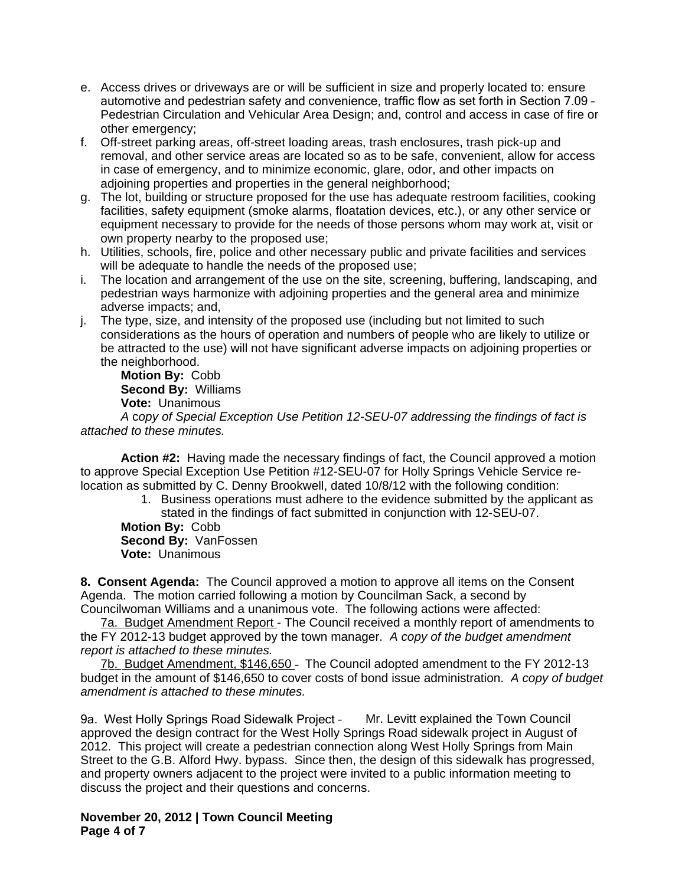- e. Access drives or driveways are or will be sufficient in size and properly located to: ensure automotive and pedestrian safety and convenience, traffic flow as set forth in Section 7.09 – Pedestrian Circulation and Vehicular Area Design; and, control and access in case of fire or other emergency;
- f. Off-street parking areas, off-street loading areas, trash enclosures, trash pick-up and removal, and other service areas are located so as to be safe, convenient, allow for access in case of emergency, and to minimize economic, glare, odor, and other impacts on adjoining properties and properties in the general neighborhood;
- g. The lot, building or structure proposed for the use has adequate restroom facilities, cooking facilities, safety equipment (smoke alarms, floatation devices, etc.), or any other service or equipment necessary to provide for the needs of those persons whom may work at, visit or own property nearby to the proposed use;
- h. Utilities, schools, fire, police and other necessary public and private facilities and services will be adequate to handle the needs of the proposed use;
- i. The location and arrangement of the use on the site, screening, buffering, landscaping, and pedestrian ways harmonize with adjoining properties and the general area and minimize adverse impacts; and,
- j. The type, size, and intensity of the proposed use (including but not limited to such considerations as the hours of operation and numbers of people who are likely to utilize or be attracted to the use) will not have significant adverse impacts on adjoining properties or the neighborhood.

**Motion By:** Cobb **Second By:** Williams **Vote:** Unanimous

*A* c*opy of Special Exception Use Petition 12-SEU-07 addressing the findings of fact is attached to these minutes.*

**Action #2:** Having made the necessary findings of fact, the Council approved a motion to approve Special Exception Use Petition #12-SEU-07 for Holly Springs Vehicle Service relocation as submitted by C. Denny Brookwell, dated 10/8/12 with the following condition:

> 1. Business operations must adhere to the evidence submitted by the applicant as stated in the findings of fact submitted in conjunction with 12-SEU-07.

**Motion By:** Cobb **Second By:** VanFossen **Vote:** Unanimous

**8. Consent Agenda:** The Council approved a motion to approve all items on the Consent Agenda. The motion carried following a motion by Councilman Sack, a second by Councilwoman Williams and a unanimous vote. The following actions were affected:

7a. Budget Amendment Report - The Council received a monthly report of amendments to the FY 2012-13 budget approved by the town manager. *A copy of the budget amendment report is attached to these minutes.*

7b. Budget Amendment, \$146,650 – The Council adopted amendment to the FY 2012-13 budget in the amount of \$146,650 to cover costs of bond issue administration. *A copy of budget amendment is attached to these minutes.*

9a. West Holly Springs Road Sidewalk Project – Mr. Levitt explained the Town Council approved the design contract for the West Holly Springs Road sidewalk project in August of 2012. This project will create a pedestrian connection along West Holly Springs from Main Street to the G.B. Alford Hwy. bypass. Since then, the design of this sidewalk has progressed, and property owners adjacent to the project were invited to a public information meeting to discuss the project and their questions and concerns.

**November 20, 2012 | Town Council Meeting Page 4 of 7**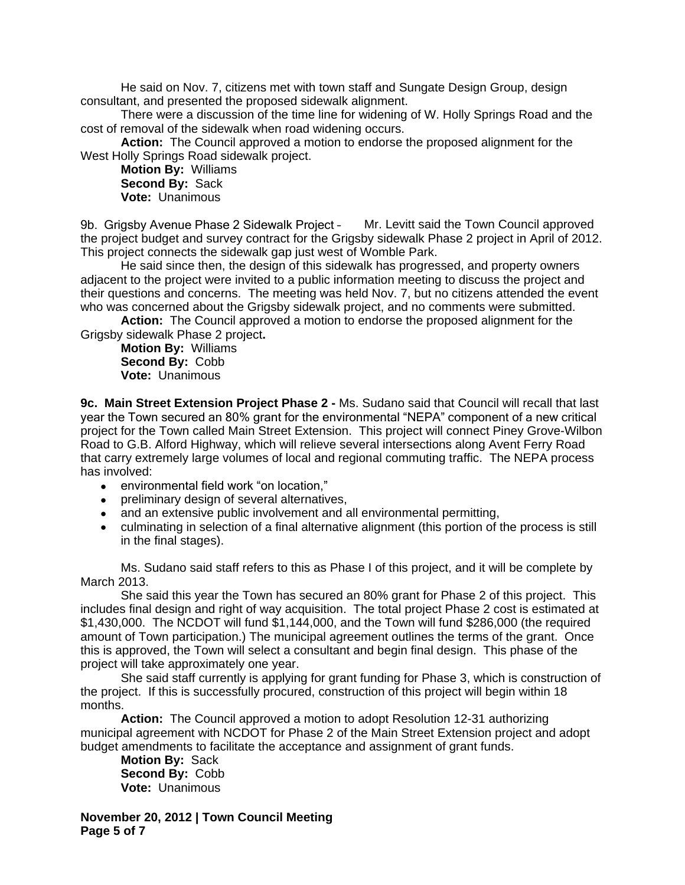He said on Nov. 7, citizens met with town staff and Sungate Design Group, design consultant, and presented the proposed sidewalk alignment.

There were a discussion of the time line for widening of W. Holly Springs Road and the cost of removal of the sidewalk when road widening occurs.

**Action:** The Council approved a motion to endorse the proposed alignment for the West Holly Springs Road sidewalk project.

**Motion By:** Williams **Second By:** Sack **Vote:** Unanimous

9b. Grigsby Avenue Phase 2 Sidewalk Project – Mr. Levitt said the Town Council approved the project budget and survey contract for the Grigsby sidewalk Phase 2 project in April of 2012. This project connects the sidewalk gap just west of Womble Park.

He said since then, the design of this sidewalk has progressed, and property owners adjacent to the project were invited to a public information meeting to discuss the project and their questions and concerns. The meeting was held Nov. 7, but no citizens attended the event who was concerned about the Grigsby sidewalk project, and no comments were submitted.

**Action:** The Council approved a motion to endorse the proposed alignment for the Grigsby sidewalk Phase 2 project**.**

**Motion By:** Williams **Second By:** Cobb **Vote:** Unanimous

**9c. Main Street Extension Project Phase 2 -** Ms. Sudano said that Council will recall that last year the Town secured an 80% grant for the environmental "NEPA" component of a new critical project for the Town called Main Street Extension. This project will connect Piney Grove-Wilbon Road to G.B. Alford Highway, which will relieve several intersections along Avent Ferry Road that carry extremely large volumes of local and regional commuting traffic. The NEPA process has involved:

- environmental field work "on location,"
- preliminary design of several alternatives,
- and an extensive public involvement and all environmental permitting,
- culminating in selection of a final alternative alignment (this portion of the process is still in the final stages).

Ms. Sudano said staff refers to this as Phase I of this project, and it will be complete by March 2013.

She said this year the Town has secured an 80% grant for Phase 2 of this project. This includes final design and right of way acquisition. The total project Phase 2 cost is estimated at \$1,430,000. The NCDOT will fund \$1,144,000, and the Town will fund \$286,000 (the required amount of Town participation.) The municipal agreement outlines the terms of the grant. Once this is approved, the Town will select a consultant and begin final design. This phase of the project will take approximately one year.

She said staff currently is applying for grant funding for Phase 3, which is construction of the project. If this is successfully procured, construction of this project will begin within 18 months.

**Action:** The Council approved a motion to adopt Resolution 12-31 authorizing municipal agreement with NCDOT for Phase 2 of the Main Street Extension project and adopt budget amendments to facilitate the acceptance and assignment of grant funds.

**Motion By:** Sack **Second By:** Cobb **Vote:** Unanimous

**November 20, 2012 | Town Council Meeting Page 5 of 7**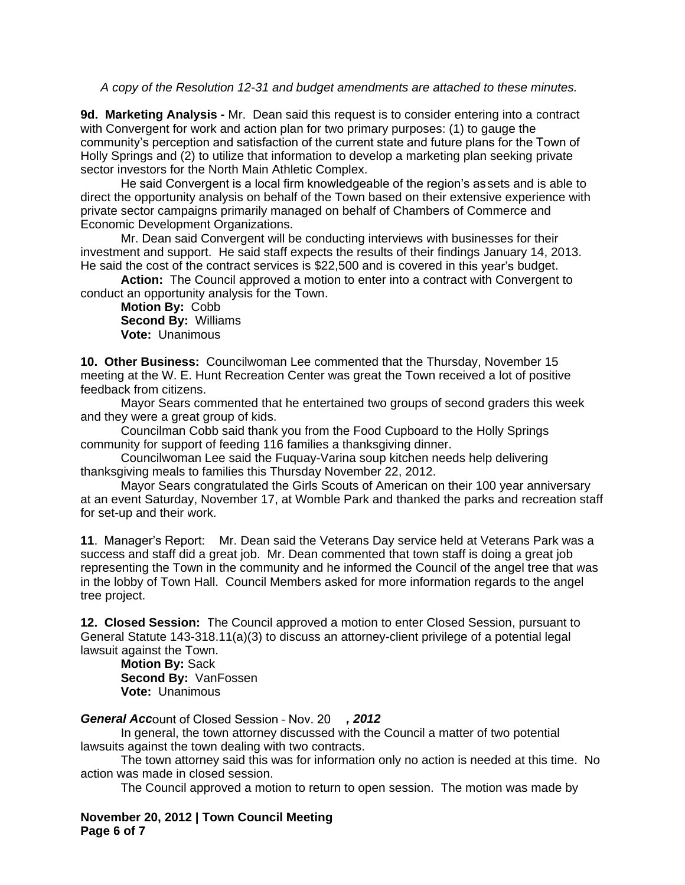*A copy of the Resolution 12-31 and budget amendments are attached to these minutes.*

**9d. Marketing Analysis -** Mr. Dean said this request is to consider entering into a contract with Convergent for work and action plan for two primary purposes: (1) to gauge the community's perception and satisfaction of the current state and future plans for the Town of Holly Springs and (2) to utilize that information to develop a marketing plan seeking private sector investors for the North Main Athletic Complex.

He said Convergent is a local firm knowledgeable of the region's assets and is able to direct the opportunity analysis on behalf of the Town based on their extensive experience with private sector campaigns primarily managed on behalf of Chambers of Commerce and Economic Development Organizations.

Mr. Dean said Convergent will be conducting interviews with businesses for their investment and support. He said staff expects the results of their findings January 14, 2013. He said the cost of the contract services is \$22,500 and is covered in this year's budget.

**Action:** The Council approved a motion to enter into a contract with Convergent to conduct an opportunity analysis for the Town.

**Motion By:** Cobb **Second By:** Williams **Vote:** Unanimous

**10. Other Business:** Councilwoman Lee commented that the Thursday, November 15 meeting at the W. E. Hunt Recreation Center was great the Town received a lot of positive feedback from citizens.

Mayor Sears commented that he entertained two groups of second graders this week and they were a great group of kids.

Councilman Cobb said thank you from the Food Cupboard to the Holly Springs community for support of feeding 116 families a thanksgiving dinner.

Councilwoman Lee said the Fuquay-Varina soup kitchen needs help delivering thanksgiving meals to families this Thursday November 22, 2012.

Mayor Sears congratulated the Girls Scouts of American on their 100 year anniversary at an event Saturday, November 17, at Womble Park and thanked the parks and recreation staff for set-up and their work.

**11**. Manager's Report: Mr. Dean said the Veterans Day service held at Veterans Park was a success and staff did a great job. Mr. Dean commented that town staff is doing a great job representing the Town in the community and he informed the Council of the angel tree that was in the lobby of Town Hall. Council Members asked for more information regards to the angel tree project.

**12. Closed Session:** The Council approved a motion to enter Closed Session, pursuant to General Statute 143-318.11(a)(3) to discuss an attorney-client privilege of a potential legal lawsuit against the Town.

**Motion By:** Sack **Second By:** VanFossen **Vote:** Unanimous

*General Acc*ount of Closed Session – Nov. 20 *, 2012*

In general, the town attorney discussed with the Council a matter of two potential lawsuits against the town dealing with two contracts.

The town attorney said this was for information only no action is needed at this time. No action was made in closed session.

The Council approved a motion to return to open session. The motion was made by

**November 20, 2012 | Town Council Meeting Page 6 of 7**